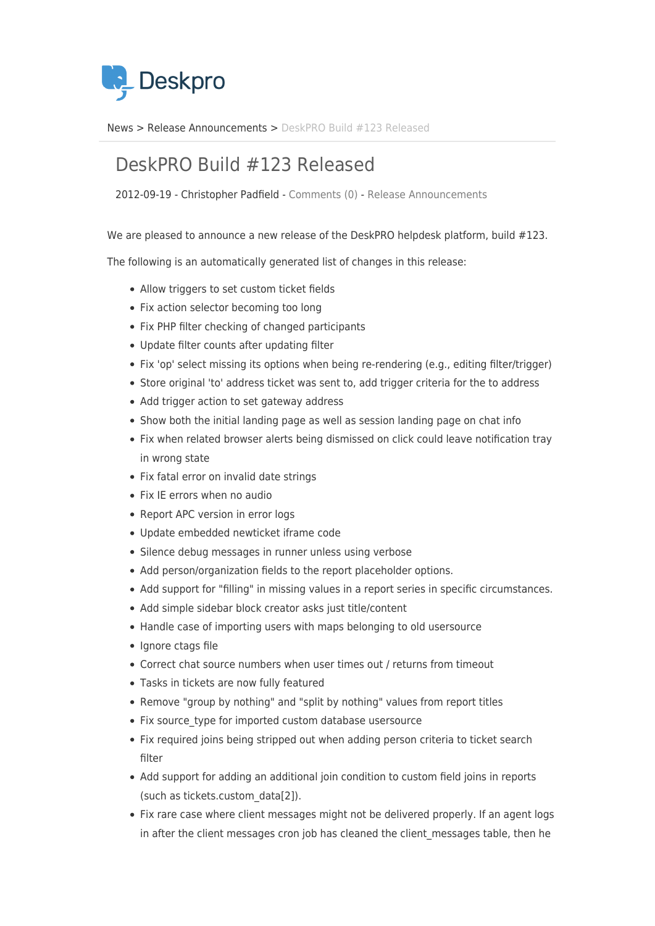

[News](https://support.deskpro.com/sv/news) > [Release Announcements](https://support.deskpro.com/sv/news/release-announcements) > [DeskPRO Build #123 Released](https://support.deskpro.com/sv/news/posts/deskpro-build-123-released)

## DeskPRO Build #123 Released

2012-09-19 - Christopher Padfield - [Comments \(0\)](#page--1-0) - [Release Announcements](https://support.deskpro.com/sv/news/release-announcements)

We are pleased to announce a new release of the DeskPRO helpdesk platform, build #123.

The following is an automatically generated list of changes in this release:

- Allow triggers to set custom ticket fields
- Fix action selector becoming too long
- Fix PHP filter checking of changed participants
- Update filter counts after updating filter
- Fix 'op' select missing its options when being re-rendering (e.g., editing filter/trigger)
- Store original 'to' address ticket was sent to, add trigger criteria for the to address
- Add trigger action to set gateway address
- Show both the initial landing page as well as session landing page on chat info
- Fix when related browser alerts being dismissed on click could leave notification tray in wrong state
- Fix fatal error on invalid date strings
- Fix IE errors when no audio
- Report APC version in error logs
- Update embedded newticket iframe code
- Silence debug messages in runner unless using verbose
- Add person/organization fields to the report placeholder options.
- Add support for "filling" in missing values in a report series in specific circumstances.
- Add simple sidebar block creator asks just title/content
- Handle case of importing users with maps belonging to old usersource
- Ignore ctags file
- Correct chat source numbers when user times out / returns from timeout
- Tasks in tickets are now fully featured
- Remove "group by nothing" and "split by nothing" values from report titles
- Fix source type for imported custom database usersource
- Fix required joins being stripped out when adding person criteria to ticket search filter
- Add support for adding an additional join condition to custom field joins in reports (such as tickets.custom\_data[2]).
- Fix rare case where client messages might not be delivered properly. If an agent logs in after the client messages cron job has cleaned the client messages table, then he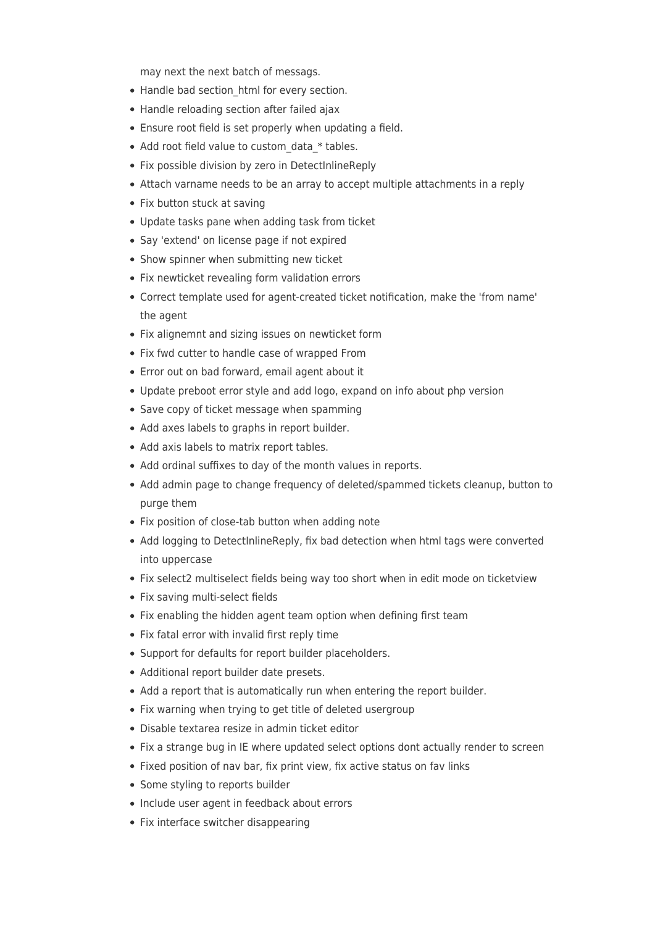may next the next batch of messags.

- Handle bad section html for every section.
- Handle reloading section after failed ajax
- Ensure root field is set properly when updating a field.
- Add root field value to custom data \* tables.
- Fix possible division by zero in DetectInlineReply
- Attach varname needs to be an array to accept multiple attachments in a reply
- Fix button stuck at saving
- Update tasks pane when adding task from ticket
- Say 'extend' on license page if not expired
- Show spinner when submitting new ticket
- Fix newticket revealing form validation errors
- Correct template used for agent-created ticket notification, make the 'from name' the agent
- Fix alignemnt and sizing issues on newticket form
- Fix fwd cutter to handle case of wrapped From
- Error out on bad forward, email agent about it
- Update preboot error style and add logo, expand on info about php version
- Save copy of ticket message when spamming
- Add axes labels to graphs in report builder.
- Add axis labels to matrix report tables.
- Add ordinal suffixes to day of the month values in reports.
- Add admin page to change frequency of deleted/spammed tickets cleanup, button to purge them
- Fix position of close-tab button when adding note
- Add logging to DetectInlineReply, fix bad detection when html tags were converted into uppercase
- Fix select2 multiselect fields being way too short when in edit mode on ticketview
- Fix saving multi-select fields
- Fix enabling the hidden agent team option when defining first team
- Fix fatal error with invalid first reply time
- Support for defaults for report builder placeholders.
- Additional report builder date presets.
- Add a report that is automatically run when entering the report builder.
- Fix warning when trying to get title of deleted usergroup
- Disable textarea resize in admin ticket editor
- Fix a strange bug in IE where updated select options dont actually render to screen
- Fixed position of nav bar, fix print view, fix active status on fav links
- Some styling to reports builder
- Include user agent in feedback about errors
- Fix interface switcher disappearing